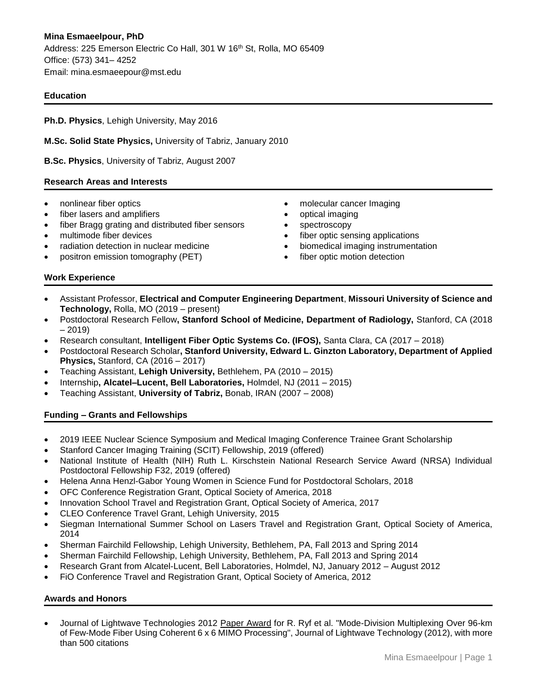## **Education**

**Ph.D. Physics**, Lehigh University, May 2016

**M.Sc. Solid State Physics,** University of Tabriz, January 2010

**B.Sc. Physics**, University of Tabriz, August 2007

#### **Research Areas and Interests**

- nonlinear fiber optics
- fiber lasers and amplifiers
- fiber Bragg grating and distributed fiber sensors
- multimode fiber devices
- radiation detection in nuclear medicine
- positron emission tomography (PET)
- molecular cancer Imaging
- optical imaging
- spectroscopy
- fiber optic sensing applications
- biomedical imaging instrumentation
- fiber optic motion detection

#### **Work Experience**

- Assistant Professor, **Electrical and Computer Engineering Department**, **Missouri University of Science and Technology,** Rolla, MO (2019 – present)
- Postdoctoral Research Fellow**, Stanford School of Medicine, Department of Radiology,** Stanford, CA (2018 – 2019)
- Research consultant, **Intelligent Fiber Optic Systems Co. (IFOS),** Santa Clara, CA (2017 2018)
- Postdoctoral Research Scholar**, Stanford University, Edward L. Ginzton Laboratory, Department of Applied Physics,** Stanford, CA (2016 – 2017)
- Teaching Assistant, **Lehigh University,** Bethlehem, PA (2010 2015)
- Internship**, Alcatel–Lucent, Bell Laboratories,** Holmdel, NJ (2011 2015)
- Teaching Assistant, **University of Tabriz,** Bonab, IRAN (2007 2008)

#### **Funding – Grants and Fellowships**

- 2019 IEEE Nuclear Science Symposium and Medical Imaging Conference Trainee Grant Scholarship
- Stanford Cancer Imaging Training (SCIT) Fellowship, 2019 (offered)
- National Institute of Health (NIH) Ruth L. Kirschstein National Research Service Award (NRSA) Individual Postdoctoral Fellowship F32, 2019 (offered)
- Helena Anna Henzl-Gabor Young Women in Science Fund for Postdoctoral Scholars, 2018
- OFC Conference Registration Grant, Optical Society of America, 2018
- Innovation School Travel and Registration Grant, Optical Society of America, 2017
- CLEO Conference Travel Grant, Lehigh University, 2015
- Siegman International Summer School on Lasers Travel and Registration Grant, Optical Society of America, 2014
- Sherman Fairchild Fellowship, Lehigh University, Bethlehem, PA, Fall 2013 and Spring 2014
- Sherman Fairchild Fellowship, Lehigh University, Bethlehem, PA, Fall 2013 and Spring 2014
- Research Grant from Alcatel-Lucent, Bell Laboratories, Holmdel, NJ, January 2012 August 2012
- FiO Conference Travel and Registration Grant, Optical Society of America, 2012

#### **Awards and Honors**

 Journal of Lightwave Technologies 2012 Paper Award for R. Ryf et al. "Mode-Division Multiplexing Over 96-km of Few-Mode Fiber Using Coherent 6 x 6 MIMO Processing", Journal of Lightwave Technology (2012), with more than 500 citations